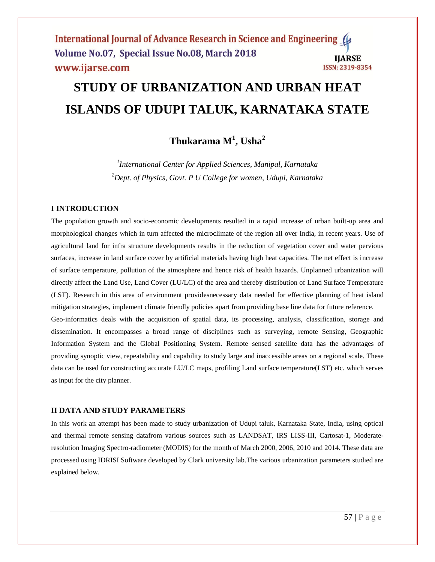# **STUDY OF URBANIZATION AND URBAN HEAT ISLANDS OF UDUPI TALUK, KARNATAKA STATE**

# **Thukarama M<sup>1</sup> , Usha<sup>2</sup>**

*1 International Center for Applied Sciences, Manipal, Karnataka <sup>2</sup>Dept. of Physics, Govt. P U College for women, Udupi, Karnataka*

# **I INTRODUCTION**

The population growth and socio-economic developments resulted in a rapid increase of urban built-up area and morphological changes which in turn affected the microclimate of the region all over India, in recent years. Use of agricultural land for infra structure developments results in the reduction of vegetation cover and water pervious surfaces, increase in land surface cover by artificial materials having high heat capacities. The net effect is increase of surface temperature, pollution of the atmosphere and hence risk of health hazards. Unplanned urbanization will directly affect the Land Use, Land Cover (LU/LC) of the area and thereby distribution of Land Surface Temperature (LST). Research in this area of environment providesnecessary data needed for effective planning of heat island mitigation strategies, implement climate friendly policies apart from providing base line data for future reference. Geo-informatics deals with the acquisition of spatial data, its processing, analysis, classification, storage and dissemination. It encompasses a broad range of disciplines such as surveying, remote Sensing, Geographic

Information System and the Global Positioning System. Remote sensed satellite data has the advantages of providing synoptic view, repeatability and capability to study large and inaccessible areas on a regional scale. These data can be used for constructing accurate LU/LC maps, profiling Land surface temperature(LST) etc. which serves as input for the city planner.

## **II DATA AND STUDY PARAMETERS**

In this work an attempt has been made to study urbanization of Udupi taluk, Karnataka State, India, using optical and thermal remote sensing datafrom various sources such as LANDSAT, IRS LISS-III, Cartosat-1, Moderateresolution Imaging Spectro-radiometer (MODIS) for the month of March 2000, 2006, 2010 and 2014. These data are processed using IDRISI Software developed by Clark university lab.The various urbanization parameters studied are explained below.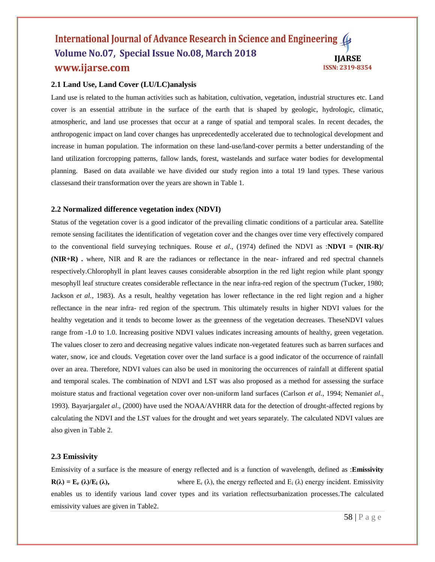#### International Journal of Advance Research in Science and Engineering ( Volume No.07, Special Issue No.08, March 2018 **IIARSE** www.ijarse.com ISSN: 2319-8354

# **2.1 Land Use, Land Cover (LU/LC)analysis**

Land use is related to the human activities such as habitation, cultivation, vegetation, industrial structures etc. Land cover is an essential attribute in the surface of the earth that is shaped by geologic, hydrologic, climatic, atmospheric, and land use processes that occur at a range of spatial and temporal scales. In recent decades, the anthropogenic impact on land cover changes has unprecedentedly accelerated due to technological development and increase in human population. The information on these land-use/land-cover permits a better understanding of the land utilization forcropping patterns, fallow lands, forest, wastelands and surface water bodies for developmental planning. Based on data available we have divided our study region into a total 19 land types. These various classesand their transformation over the years are shown in Table 1.

#### **2.2 Normalized difference vegetation index (NDVI)**

Status of the vegetation cover is a good indicator of the prevailing climatic conditions of a particular area. Satellite remote sensing facilitates the identification of vegetation cover and the changes over time very effectively compared to the conventional field surveying techniques. Rouse *et al*., (1974) defined the NDVI as :**NDVI = (NIR-R)/ (NIR+R) .** where, NIR and R are the radiances or reflectance in the near- infrared and red spectral channels respectively.Chlorophyll in plant leaves causes considerable absorption in the red light region while plant spongy mesophyll leaf structure creates considerable reflectance in the near infra-red region of the spectrum (Tucker, 1980; Jackson *et al.*, 1983). As a result, healthy vegetation has lower reflectance in the red light region and a higher reflectance in the near infra- red region of the spectrum. This ultimately results in higher NDVI values for the healthy vegetation and it tends to become lower as the greenness of the vegetation decreases. TheseNDVI values range from -1.0 to 1.0. Increasing positive NDVI values indicates increasing amounts of healthy, green vegetation. The values closer to zero and decreasing negative values indicate non-vegetated features such as barren surfaces and water, snow, ice and clouds. Vegetation cover over the land surface is a good indicator of the occurrence of rainfall over an area. Therefore, NDVI values can also be used in monitoring the occurrences of rainfall at different spatial and temporal scales. The combination of NDVI and LST was also proposed as a method for assessing the surface moisture status and fractional vegetation cover over non-uniform land surfaces (Carlson *et al.,* 1994; Nemani*et al*., 1993). Bayarjargal*et al*., (2000) have used the NOAA/AVHRR data for the detection of drought-affected regions by calculating the NDVI and the LST values for the drought and wet years separately. The calculated NDVI values are also given in Table 2.

#### **2.3 Emissivity**

Emissivity of a surface is the measure of energy reflected and is a function of wavelength, defined as :**Emissivity**   $\mathbf{R}(\lambda) = \mathbf{E}_\mathbf{r}(\lambda)/\mathbf{E}_\mathbf{i}(\lambda)$ , where  $\mathbf{E}_\mathbf{r}(\lambda)$ , the energy reflected and  $\mathbf{E}_\mathbf{i}(\lambda)$  energy incident. Emissivity enables us to identify various land cover types and its variation reflectsurbanization processes.The calculated emissivity values are given in Table2.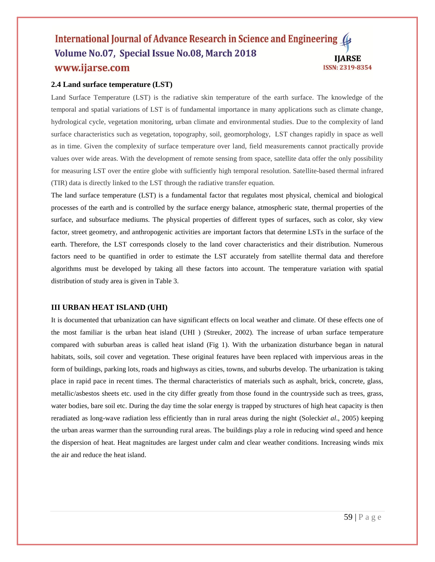#### International Journal of Advance Research in Science and Engineering ( Volume No.07, Special Issue No.08, March 2018 **IIARSE** www.ijarse.com ISSN: 2319-8354

# **2.4 Land surface temperature (LST)**

Land Surface Temperature (LST) is the radiative skin temperature of the earth surface. The knowledge of the temporal and spatial variations of LST is of fundamental importance in many applications such as climate change, hydrological cycle, vegetation monitoring, urban climate and environmental studies. Due to the complexity of land surface characteristics such as vegetation, topography, soil, geomorphology, LST changes rapidly in space as well as in time. Given the complexity of surface temperature over land, field measurements cannot practically provide values over wide areas. With the development of remote sensing from space, satellite data offer the only possibility for measuring LST over the entire globe with sufficiently high temporal resolution. Satellite-based thermal infrared (TIR) data is directly linked to the LST through the radiative transfer equation.

The land surface temperature (LST) is a fundamental factor that regulates most physical, chemical and biological processes of the earth and is controlled by the surface energy balance, atmospheric state, thermal properties of the surface, and subsurface mediums. The physical properties of different types of surfaces, such as color, sky view factor, street geometry, and anthropogenic activities are important factors that determine LSTs in the surface of the earth. Therefore, the LST corresponds closely to the land cover characteristics and their distribution. Numerous factors need to be quantified in order to estimate the LST accurately from satellite thermal data and therefore algorithms must be developed by taking all these factors into account. The temperature variation with spatial distribution of study area is given in Table 3.

## **III URBAN HEAT ISLAND (UHI)**

It is documented that urbanization can have significant effects on local weather and climate. Of these effects one of the most familiar is the urban heat island (UHI ) (Streuker, 2002). The increase of urban surface temperature compared with suburban areas is called heat island (Fig 1). With the urbanization disturbance began in natural habitats, soils, soil cover and vegetation. These original features have been replaced with impervious areas in the form of buildings, parking lots, roads and highways as cities, towns, and suburbs develop. The urbanization is taking place in rapid pace in recent times. The thermal characteristics of materials such as asphalt, brick, concrete, glass, metallic/asbestos sheets etc. used in the city differ greatly from those found in the countryside such as trees, grass, water bodies, bare soil etc. During the day time the solar energy is trapped by structures of high heat capacity is then reradiated as long-wave radiation less efficiently than in rural areas during the night (Solecki*et al*., 2005) keeping the urban areas warmer than the surrounding rural areas. The buildings play a role in reducing wind speed and hence the dispersion of heat. Heat magnitudes are largest under calm and clear weather conditions. Increasing winds mix the air and reduce the heat island.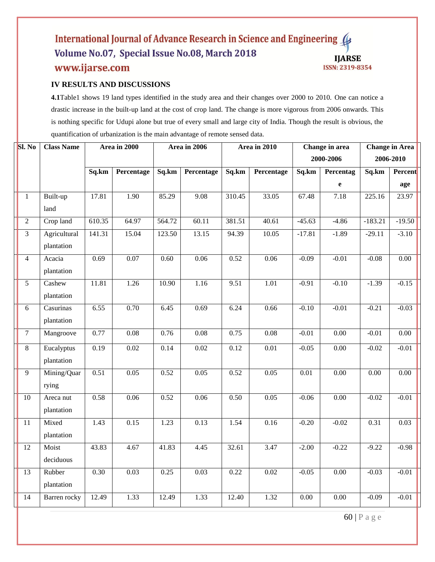## International Journal of Advance Research in Science and Engineering Volume No.07, Special Issue No.08, March 2018 **IJARSE** www.ijarse.com ISSN: 2319-8354

# **IV RESULTS AND DISCUSSIONS**

**4.1**Table1 shows 19 land types identified in the study area and their changes over 2000 to 2010. One can notice a drastic increase in the built-up land at the cost of crop land. The change is more vigorous from 2006 onwards. This is nothing specific for Udupi alone but true of every small and large city of India. Though the result is obvious, the quantification of urbanization is the main advantage of remote sensed data.

| $\overline{\text{SI. No}}$ | <b>Class Name</b> | Area in 2000 |            | Area in 2006 |            | Area in 2010 |                   |           | Change in area | <b>Change in Area</b> |          |  |
|----------------------------|-------------------|--------------|------------|--------------|------------|--------------|-------------------|-----------|----------------|-----------------------|----------|--|
|                            |                   |              |            |              |            |              |                   | 2000-2006 |                | 2006-2010             |          |  |
|                            |                   | Sq.km        | Percentage | Sq.km        | Percentage | Sq.km        | Percentage        | Sq.km     | Percentag      | Sq.km                 | Percent  |  |
|                            |                   |              |            |              |            |              |                   |           | e              |                       | age      |  |
| $\mathbf{1}$               | Built-up          | 17.81        | 1.90       | 85.29        | 9.08       | 310.45       | 33.05             | 67.48     | 7.18           | 225.16                | 23.97    |  |
|                            | land              |              |            |              |            |              |                   |           |                |                       |          |  |
| $\overline{2}$             | Crop land         | 610.35       | 64.97      | 564.72       | 60.11      | 381.51       | 40.61             | $-45.63$  | $-4.86$        | $-183.21$             | $-19.50$ |  |
| 3                          | Agricultural      | 141.31       | 15.04      | 123.50       | 13.15      | 94.39        | 10.05             | $-17.81$  | $-1.89$        | $-29.11$              | $-3.10$  |  |
|                            | plantation        |              |            |              |            |              |                   |           |                |                       |          |  |
| $\overline{4}$             | Acacia            | 0.69         | 0.07       | 0.60         | 0.06       | 0.52         | 0.06              | $-0.09$   | $-0.01$        | $-0.08$               | $0.00\,$ |  |
|                            | plantation        |              |            |              |            |              |                   |           |                |                       |          |  |
| 5                          | Cashew            | 11.81        | 1.26       | 10.90        | 1.16       | 9.51         | 1.01              | $-0.91$   | $-0.10$        | $-1.39$               | $-0.15$  |  |
|                            | plantation        |              |            |              |            |              |                   |           |                |                       |          |  |
| 6                          | Casurinas         | 6.55         | 0.70       | 6.45         | 0.69       | 6.24         | 0.66              | $-0.10$   | $-0.01$        | $-0.21$               | $-0.03$  |  |
|                            | plantation        |              |            |              |            |              |                   |           |                |                       |          |  |
| $\overline{7}$             | Mangroove         | 0.77         | 0.08       | 0.76         | 0.08       | 0.75         | $\overline{0.08}$ | $-0.01$   | 0.00           | $-0.01$               | $0.00\,$ |  |
| $8\,$                      | Eucalyptus        | 0.19         | 0.02       | 0.14         | 0.02       | 0.12         | $0.01\,$          | $-0.05$   | 0.00           | $-0.02$               | $-0.01$  |  |
|                            | plantation        |              |            |              |            |              |                   |           |                |                       |          |  |
| 9                          | Mining/Quar       | 0.51         | 0.05       | 0.52         | 0.05       | 0.52         | 0.05              | 0.01      | 0.00           | $0.00\,$              | 0.00     |  |
|                            | rying             |              |            |              |            |              |                   |           |                |                       |          |  |
| 10                         | Areca nut         | 0.58         | 0.06       | 0.52         | 0.06       | 0.50         | 0.05              | $-0.06$   | 0.00           | $-0.02$               | $-0.01$  |  |
|                            | plantation        |              |            |              |            |              |                   |           |                |                       |          |  |
| 11                         | Mixed             | 1.43         | 0.15       | 1.23         | 0.13       | 1.54         | $\overline{0.16}$ | $-0.20$   | $-0.02$        | 0.31                  | 0.03     |  |
|                            | plantation        |              |            |              |            |              |                   |           |                |                       |          |  |
| 12                         | Moist             | 43.83        | 4.67       | 41.83        | 4.45       | 32.61        | 3.47              | $-2.00$   | $-0.22$        | $-9.22$               | $-0.98$  |  |
|                            | deciduous         |              |            |              |            |              |                   |           |                |                       |          |  |
| 13                         | Rubber            | 0.30         | 0.03       | 0.25         | 0.03       | 0.22         | 0.02              | $-0.05$   | 0.00           | $-0.03$               | $-0.01$  |  |
|                            | plantation        |              |            |              |            |              |                   |           |                |                       |          |  |
| 14                         | Barren rocky      | 12.49        | 1.33       | 12.49        | 1.33       | 12.40        | 1.32              | $0.00\,$  | $0.00\,$       | $-0.09$               | $-0.01$  |  |
|                            |                   |              |            |              |            |              |                   |           |                |                       |          |  |

60 | P a g e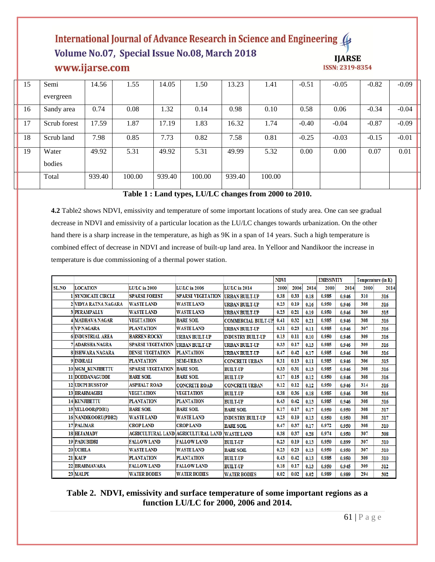# International Journal of Advance Research in Science and Engineering Volume No.07, Special Issue No.08, March 2018 www.ijarse.com



| 15 | Semi         | 14.56  | 1.55   | 14.05  | 1.50   | 13.23  | 1.41   | $-0.51$ | $-0.05$ | $-0.82$ | $-0.09$ |
|----|--------------|--------|--------|--------|--------|--------|--------|---------|---------|---------|---------|
|    | evergreen    |        |        |        |        |        |        |         |         |         |         |
| 16 | Sandy area   | 0.74   | 0.08   | 1.32   | 0.14   | 0.98   | 0.10   | 0.58    | 0.06    | $-0.34$ | $-0.04$ |
| 17 | Scrub forest | 17.59  | 1.87   | 17.19  | 1.83   | 16.32  | 1.74   | $-0.40$ | $-0.04$ | $-0.87$ | $-0.09$ |
| 18 | Scrub land   | 7.98   | 0.85   | 7.73   | 0.82   | 7.58   | 0.81   | $-0.25$ | $-0.03$ | $-0.15$ | $-0.01$ |
| 19 | Water        | 49.92  | 5.31   | 49.92  | 5.31   | 49.99  | 5.32   | 0.00    | 0.00    | 0.07    | 0.01    |
|    | bodies       |        |        |        |        |        |        |         |         |         |         |
|    | Total        | 939.40 | 100.00 | 939.40 | 100.00 | 939.40 | 100.00 |         |         |         |         |
|    |              |        |        |        |        |        |        |         |         |         |         |

# **Table 1 : Land types, LU/LC changes from 2000 to 2010.**

**4.2** Table2 shows NDVI, emissivity and temperature of some important locations of study area. One can see gradual decrease in NDVI and emissivity of a particular location as the LU/LC changes towards urbanization. On the other hand there is a sharp increase in the temperature, as high as 9K in a span of 14 years. Such a high temperature is combined effect of decrease in NDVI and increase of built-up land area. In Yelloor and Nandikoor the increase in temperature is due commissioning of a thermal power station.

|              |                                  |                          |                                     |                            | <b>NDVI</b> |      |      | <b>EMISSIVITY</b> |       |      | Temperature (in K) |
|--------------|----------------------------------|--------------------------|-------------------------------------|----------------------------|-------------|------|------|-------------------|-------|------|--------------------|
| <b>SL.NO</b> | <b>LOCATION</b><br>LU/LC in 2000 |                          | LU/LC in 2006                       | <b>LU/LC</b> in 2014       | 2000        | 2006 | 2014 | 2000              | 2014  | 2000 | 2014               |
|              | <b>SYNDICATE CIRCLE</b>          | <b>SPARSE FOREST</b>     | <b>SPARSE VEGETATION</b>            | <b>URBAN BUILT-UP</b>      | 0.38        | 0.33 | 0.18 | 0.985             | 0.946 | 310  | 316                |
|              | 2 VIDYA RATNA NAGARA             | <b>WASTE LAND</b>        | <b>WASTE LAND</b>                   | <b>URBAN BUILT-UP</b>      | 0.23        | 0.19 | 0.16 | 0.950             | 0.946 | 308  | 316                |
|              | <b>3 PERAMPALLY</b>              | <b>WASTE LAND</b>        | <b>WASTE LAND</b>                   | <b>URBAN BUILT-UP</b>      | 0.23        | 0.21 | 0.19 | 0.950             | 0.946 | 309  | 315                |
|              | <b>4 MADHAVA NAGAR</b>           | <b>VEGETATION</b>        | <b>BARE SOIL</b>                    | <b>COMMERCIAL BUILT-UP</b> | 0.41        | 0.32 | 0.21 | 0.985             | 0.946 | 308  | 316                |
|              | <b>5 VP NAGARA</b>               | <b>PLANTATION</b>        | <b>WASTE LAND</b>                   | <b>URBAN BUILT-UP</b>      | 0.31        | 0.23 | 0.11 | 0.985             | 0.946 | 307  | 316                |
|              | <b>6 INDUSTRIAL AREA</b>         | <b>BARREN ROCKY</b>      | <b>URBAN BUILT-UP</b>               | <b>INDUSTRY BUILT-UP</b>   | 0.13        | 0.11 | 0.10 | 0.950             | 0.946 | 309  | 316                |
|              | 7 ADARSHA NAGRA                  | <b>SPARSE VEGETATION</b> | <b>URBAN BUILT-UP</b>               | URBAN BUILT-UP             | 0.33        | 0.17 | 0.13 | 0.985             | 0.946 | 309  | 316                |
|              | <b>8 ISHWARA NAGARA</b>          | <b>DENSE VEGETATION</b>  | <b>PLANTATION</b>                   | <b>URBAN BUILT-UP</b>      | 0.47        | 0.42 | 0.17 | 0.985             | 0.946 | 308  | 316                |
|              | 9 <b>INDRALI</b>                 | <b>PLANTATION</b>        | <b>SEMI-URBAN</b>                   | <b>CONCRETE URBAN</b>      | 0.31        | 0.13 | 0.11 | 0.985             | 0.946 | 306  | 315                |
|              | <b>10 MGM KUNJIBETTU</b>         | <b>SPARSE VEGETATION</b> | <b>BARE SOIL</b>                    | <b>BUILT-UP</b>            | 0.33        | 0.31 | 0.13 | 0.985             | 0.946 | 308  | 316                |
|              | 11 DODDANAGUDDE                  | <b>BARE SOIL</b>         | <b>BARE SOIL</b>                    | <b>BUILT-UP</b>            | 0.17        | 0.15 | 0.12 | 0.950             | 0.946 | 308  | 316                |
|              | <b>12 UDUPI BUSSTOP</b>          | <b>ASPHALT ROAD</b>      | <b>CONCRETE ROAD</b>                | <b>CONCRETE URBAN</b>      | 0.12        | 0.12 | 0.12 | 0.950             | 0.946 | 314  | 316                |
|              | <b>13 BRAHMAGIRI</b>             | <b>VEGETATION</b>        | <b>VEGETATION</b>                   | <b>BUILT-UP</b>            | 0.38        | 0.36 | 0.18 | 0.985             | 0.946 | 308  | 316                |
|              | 14 KUNJIBETTU                    | <b>PLANTATION</b>        | <b>PLANTATION</b>                   | <b>BUILT-UP</b>            | 0.43        | 0.42 | 0.13 | 0.985             | 0.946 | 308  | 316                |
|              | 15 YELLOOR(PDB1)                 | <b>BARE SOIL</b>         | <b>BARE SOIL</b>                    | <b>BARE SOIL</b>           | 0.17        | 0.17 | 0.17 | 0.950             | 0.950 | 308  | 317                |
|              | 16 NANDIKOORU(PDB2)              | <b>WASTE LAND</b>        | <b>WASTE LAND</b>                   | <b>INDUSTRY BUILT-UP</b>   | 0.23        | 0.19 | 0.13 | 0.950             | 0.950 | 308  | 317                |
|              | 17 PALIMAR                       | <b>CROP LAND</b>         | <b>CROP LAND</b>                    | <b>BARE SOIL</b>           | 0.47        | 0.37 | 0.17 | 0.972             | 0.950 | 308  | 310                |
|              | <b>18 HEJAMADY</b>               |                          | AGRICULTURAL LAND AGRICULTURAL LAND | <b>WASTE LAND</b>          | 0.38        | 0.37 | 0.28 | 0.974             | 0.950 | 307  | 308                |
|              | 19 PADUBIDRI                     | <b>FALLOW LAND</b>       | <b>FALLOW LAND</b>                  | <b>BUILT-UP</b>            | 0.23        | 0.19 | 0.13 | 0.950             | 0.899 | 307  | 310                |
|              | 20 UCHILA                        | <b>WASTE LAND</b>        | <b>WASTE LAND</b>                   | <b>BARE SOIL</b>           | 0.23        | 0.23 | 0.13 | 0.950             | 0.950 | 307  | 310                |
|              | 21 KAUP                          | <b>PLANTATION</b>        | <b>PLANTATION</b>                   | <b>BUILT-UP</b>            | 0.43        | 0.42 | 0.13 | 0.985             | 0.950 | 309  | 310                |
|              | 22 BRAHMAVARA                    | <b>FALLOW LAND</b>       | <b>FALLOW LAND</b>                  | <b>BUILT-UP</b>            | 0.18        | 0.17 | 0.13 | 0.950             | 0.945 | 309  | 312                |
|              | 23 MALPE                         | <b>WATER BODIES</b>      | <b>WATER BODIES</b>                 | <b>WATER BODIES</b>        | 0.02        | 0.02 | 0.02 | 0.989             | 0.989 | 294  | 302                |

# **Table 2. NDVI, emissivity and surface temperature of some important regions as a function LU/LC for 2000, 2006 and 2014.**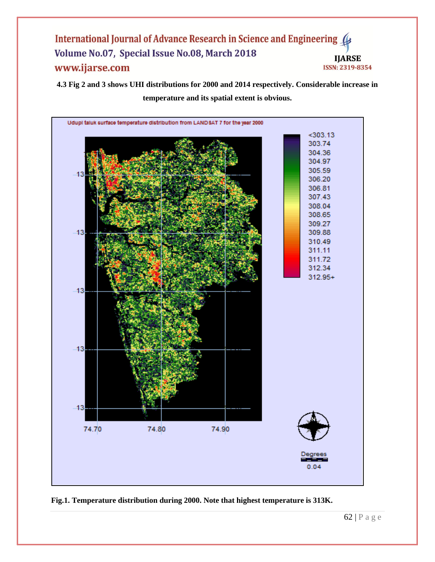## International Journal of Advance Research in Science and Engineering Volume No.07, Special Issue No.08, March 2018 **IJARSE** www.ijarse.com ISSN: 2319-8354

**4.3 Fig 2 and 3 shows UHI distributions for 2000 and 2014 respectively. Considerable increase in temperature and its spatial extent is obvious.**